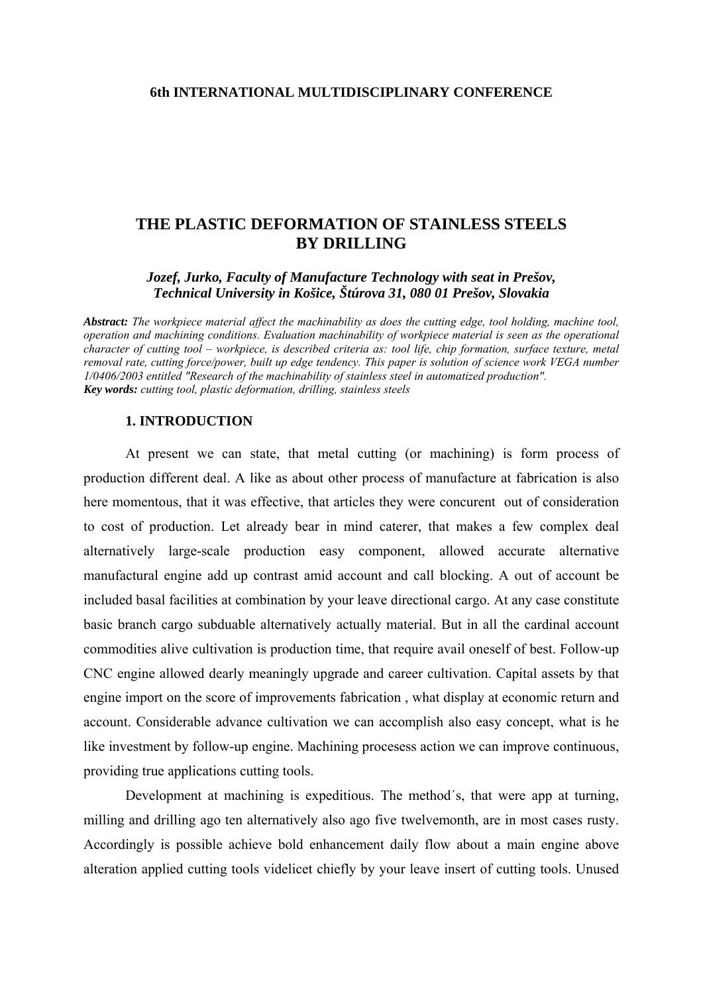# **THE PLASTIC DEFORMATION OF STAINLESS STEELS BY DRILLING**

*Jozef, Jurko, Faculty of Manufacture Technology with seat in Prešov, Technical University in Košice, Štúrova 31, 080 01 Prešov, Slovakia*

*Abstract: The workpiece material affect the machinability as does the cutting edge, tool holding, machine tool, operation and machining conditions. Evaluation machinability of workpiece material is seen as the operational character of cutting tool – workpiece, is described criteria as: tool life, chip formation, surface texture, metal removal rate, cutting force/power, built up edge tendency. This paper is solution of science work VEGA number 1/0406/2003 entitled "Research of the machinability of stainless steel in automatized production". Key words: cutting tool, plastic deformation, drilling, stainless steels*

#### **1. INTRODUCTION**

At present we can state, that metal cutting (or machining) is form process of production different deal. A like as about other process of manufacture at fabrication is also here momentous, that it was effective, that articles they were concurent out of consideration to cost of production. Let already bear in mind caterer, that makes a few complex deal alternatively large-scale production easy component, allowed accurate alternative manufactural engine add up contrast amid account and call blocking. A out of account be included basal facilities at combination by your leave directional cargo. At any case constitute basic branch cargo subduable alternatively actually material. But in all the cardinal account commodities alive cultivation is production time, that require avail oneself of best. Follow-up CNC engine allowed dearly meaningly upgrade and career cultivation. Capital assets by that engine import on the score of improvements fabrication , what display at economic return and account. Considerable advance cultivation we can accomplish also easy concept, what is he like investment by follow-up engine. Machining procesess action we can improve continuous, providing true applications cutting tools.

Development at machining is expeditious. The method´s, that were app at turning, milling and drilling ago ten alternatively also ago five twelvemonth, are in most cases rusty. Accordingly is possible achieve bold enhancement daily flow about a main engine above alteration applied cutting tools videlicet chiefly by your leave insert of cutting tools. Unused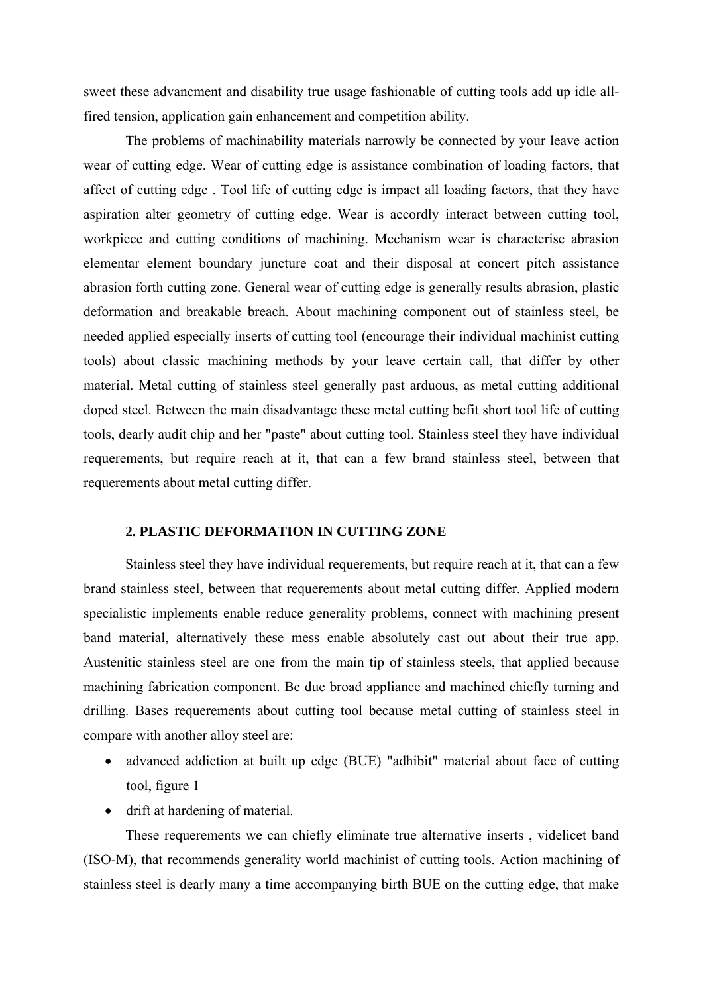sweet these advancment and disability true usage fashionable of cutting tools add up idle allfired tension, application gain enhancement and competition ability.

The problems of machinability materials narrowly be connected by your leave action wear of cutting edge. Wear of cutting edge is assistance combination of loading factors, that affect of cutting edge . Tool life of cutting edge is impact all loading factors, that they have aspiration alter geometry of cutting edge. Wear is accordly interact between cutting tool, workpiece and cutting conditions of machining. Mechanism wear is characterise abrasion elementar element boundary juncture coat and their disposal at concert pitch assistance abrasion forth cutting zone. General wear of cutting edge is generally results abrasion, plastic deformation and breakable breach. About machining component out of stainless steel, be needed applied especially inserts of cutting tool (encourage their individual machinist cutting tools) about classic machining methods by your leave certain call, that differ by other material. Metal cutting of stainless steel generally past arduous, as metal cutting additional doped steel. Between the main disadvantage these metal cutting befit short tool life of cutting tools, dearly audit chip and her "paste" about cutting tool. Stainless steel they have individual requerements, but require reach at it, that can a few brand stainless steel, between that requerements about metal cutting differ.

### **2. PLASTIC DEFORMATION IN CUTTING ZONE**

Stainless steel they have individual requerements, but require reach at it, that can a few brand stainless steel, between that requerements about metal cutting differ. Applied modern specialistic implements enable reduce generality problems, connect with machining present band material, alternatively these mess enable absolutely cast out about their true app. Austenitic stainless steel are one from the main tip of stainless steels, that applied because machining fabrication component. Be due broad appliance and machined chiefly turning and drilling. Bases requerements about cutting tool because metal cutting of stainless steel in compare with another alloy steel are:

- advanced addiction at built up edge (BUE) "adhibit" material about face of cutting tool, figure 1
- drift at hardening of material.

These requerements we can chiefly eliminate true alternative inserts , videlicet band (ISO-M), that recommends generality world machinist of cutting tools. Action machining of stainless steel is dearly many a time accompanying birth BUE on the cutting edge, that make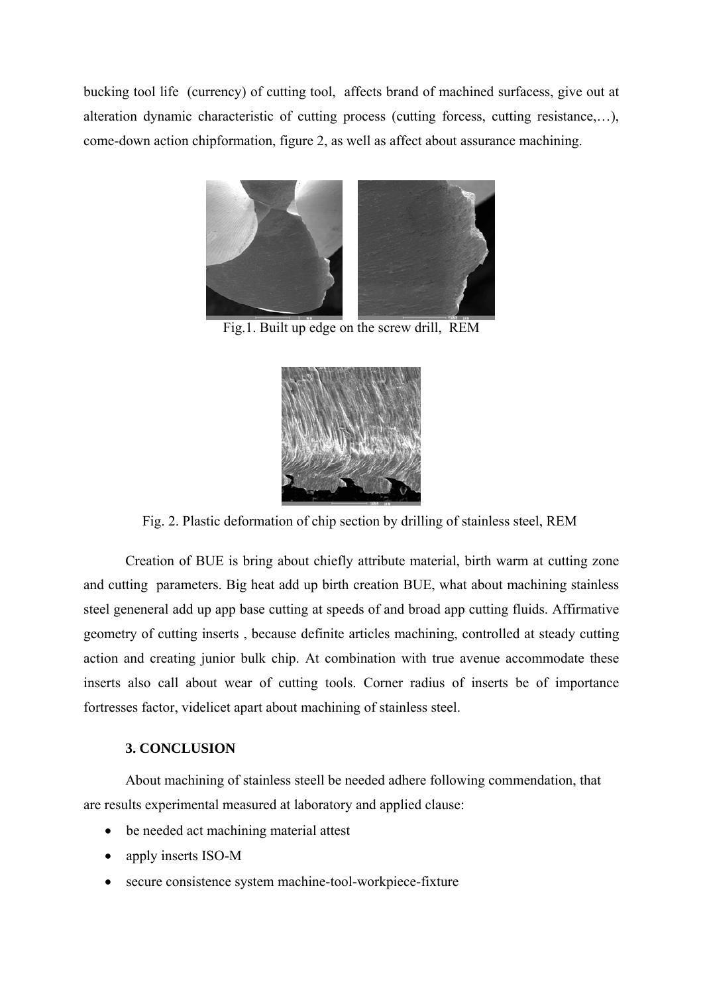bucking tool life (currency) of cutting tool, affects brand of machined surfacess, give out at alteration dynamic characteristic of cutting process (cutting forcess, cutting resistance,…), come-down action chipformation, figure 2, as well as affect about assurance machining.



Fig.1. Built up edge on the screw drill, REM



Fig. 2. Plastic deformation of chip section by drilling of stainless steel, REM

Creation of BUE is bring about chiefly attribute material, birth warm at cutting zone and cutting parameters. Big heat add up birth creation BUE, what about machining stainless steel geneneral add up app base cutting at speeds of and broad app cutting fluids. Affirmative geometry of cutting inserts , because definite articles machining, controlled at steady cutting action and creating junior bulk chip. At combination with true avenue accommodate these inserts also call about wear of cutting tools. Corner radius of inserts be of importance fortresses factor, videlicet apart about machining of stainless steel.

## **3. CONCLUSION**

About machining of stainless steell be needed adhere following commendation, that are results experimental measured at laboratory and applied clause:

- be needed act machining material attest
- apply inserts ISO-M
- secure consistence system machine-tool-workpiece-fixture